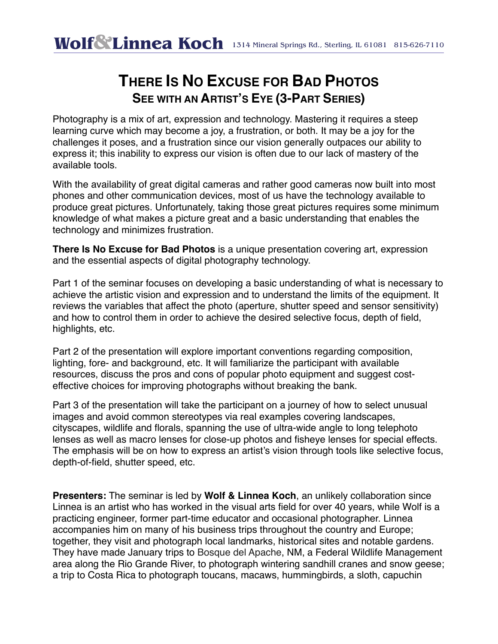## **THERE IS NO EXCUSE FOR BAD PHOTOS SEE WITH AN ARTIST'S EYE (3-PART SERIES)**

Photography is a mix of art, expression and technology. Mastering it requires a steep learning curve which may become a joy, a frustration, or both. It may be a joy for the challenges it poses, and a frustration since our vision generally outpaces our ability to express it; this inability to express our vision is often due to our lack of mastery of the available tools.

With the availability of great digital cameras and rather good cameras now built into most phones and other communication devices, most of us have the technology available to produce great pictures. Unfortunately, taking those great pictures requires some minimum knowledge of what makes a picture great and a basic understanding that enables the technology and minimizes frustration.

**There Is No Excuse for Bad Photos** is a unique presentation covering art, expression and the essential aspects of digital photography technology.

Part 1 of the seminar focuses on developing a basic understanding of what is necessary to achieve the artistic vision and expression and to understand the limits of the equipment. It reviews the variables that affect the photo (aperture, shutter speed and sensor sensitivity) and how to control them in order to achieve the desired selective focus, depth of field, highlights, etc.

Part 2 of the presentation will explore important conventions regarding composition, lighting, fore- and background, etc. It will familiarize the participant with available resources, discuss the pros and cons of popular photo equipment and suggest costeffective choices for improving photographs without breaking the bank.

Part 3 of the presentation will take the participant on a journey of how to select unusual images and avoid common stereotypes via real examples covering landscapes, cityscapes, wildlife and florals, spanning the use of ultra-wide angle to long telephoto lenses as well as macro lenses for close-up photos and fisheye lenses for special effects. The emphasis will be on how to express an artist's vision through tools like selective focus, depth-of-field, shutter speed, etc.

**Presenters:** The seminar is led by **Wolf & Linnea Koch**, an unlikely collaboration since Linnea is an artist who has worked in the visual arts field for over 40 years, while Wolf is a practicing engineer, former part-time educator and occasional photographer. Linnea accompanies him on many of his business trips throughout the country and Europe; together, they visit and photograph local landmarks, historical sites and notable gardens. They have made January trips to Bosque del Apache, NM, a Federal Wildlife Management area along the Rio Grande River, to photograph wintering sandhill cranes and snow geese; a trip to Costa Rica to photograph toucans, macaws, hummingbirds, a sloth, capuchin